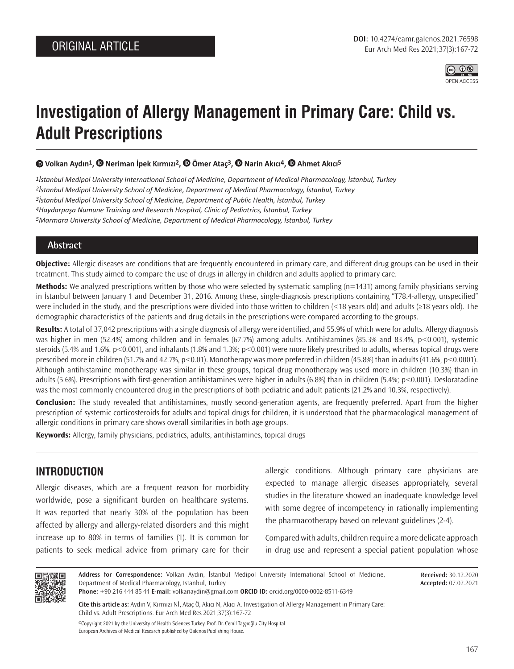

# **Investigation of Allergy Management in Primary Care: Child vs. Adult Prescriptions**

 **[V](https://orcid.org/0000-0002-8511-6349)olkan Aydın1[,](https://orcid.org/0000-0001-8294-0802) Neriman İpek Kırmızı2,Ömer Ataç3,Narin Akıcı4[,](https://orcid.org/0000-0002-8593-0818) Ahmet Akıcı5**

*İstanbul Medipol University International School of Medicine, Department of Medical Pharmacology, İstanbul, Turkey İstanbul Medipol University School of Medicine, Department of Medical Pharmacology, İstanbul, Turkey İstanbul Medipol University School of Medicine, Department of Public Health, İstanbul, Turkey Haydarpaşa Numune Training and Research Hospital, Clinic of Pediatrics, İstanbul, Turkey Marmara University School of Medicine, Department of Medical Pharmacology, İstanbul, Turkey*

#### **Abstract**

**Objective:** Allergic diseases are conditions that are frequently encountered in primary care, and different drug groups can be used in their treatment. This study aimed to compare the use of drugs in allergy in children and adults applied to primary care.

**Methods:** We analyzed prescriptions written by those who were selected by systematic sampling (n=1431) among family physicians serving in Istanbul between January 1 and December 31, 2016. Among these, single-diagnosis prescriptions containing "T78.4-allergy, unspecified" were included in the study, and the prescriptions were divided into those written to children (<18 years old) and adults (≥18 years old). The demographic characteristics of the patients and drug details in the prescriptions were compared according to the groups.

**Results:** A total of 37,042 prescriptions with a single diagnosis of allergy were identified, and 55.9% of which were for adults. Allergy diagnosis was higher in men (52.4%) among children and in females (67.7%) among adults. Antihistamines (85.3% and 83.4%, p<0.001), systemic steroids (5.4% and 1.6%, p<0.001), and inhalants (1.8% and 1.3%; p<0.001) were more likely prescribed to adults, whereas topical drugs were prescribed more in children (51.7% and 42.7%, p<0.01). Monotherapy was more preferred in children (45.8%) than in adults (41.6%, p<0.0001). Although antihistamine monotherapy was similar in these groups, topical drug monotherapy was used more in children (10.3%) than in adults (5.6%). Prescriptions with first-generation antihistamines were higher in adults (6.8%) than in children (5.4%; p<0.001). Desloratadine was the most commonly encountered drug in the prescriptions of both pediatric and adult patients (21.2% and 10.3%, respectively).

**Conclusion:** The study revealed that antihistamines, mostly second-generation agents, are frequently preferred. Apart from the higher prescription of systemic corticosteroids for adults and topical drugs for children, it is understood that the pharmacological management of allergic conditions in primary care shows overall similarities in both age groups.

**Keywords:** Allergy, family physicians, pediatrics, adults, antihistamines, topical drugs

## **INTRODUCTION**

Allergic diseases, which are a frequent reason for morbidity worldwide, pose a significant burden on healthcare systems. It was reported that nearly 30% of the population has been affected by allergy and allergy-related disorders and this might increase up to 80% in terms of families (1). It is common for patients to seek medical advice from primary care for their allergic conditions. Although primary care physicians are expected to manage allergic diseases appropriately, several studies in the literature showed an inadequate knowledge level with some degree of incompetency in rationally implementing the pharmacotherapy based on relevant guidelines (2-4).

Compared with adults, children require a more delicate approach in drug use and represent a special patient population whose



**Address for Correspondence:** Volkan Aydın, İstanbul Medipol University International School of Medicine, Department of Medical Pharmacology, İstanbul, Turkey

**Received:** 30.12.2020 **Accepted:** 07.02.2021

**Phone:** +90 216 444 85 44 **E-mail:** volkanaydin@gmail.com **ORCID ID:** orcid.org/0000-0002-8511-6349

**Cite this article as:** Aydın V, Kırmızı Nİ, Ataç Ö, Akıcı N, Akıcı A. Investigation of Allergy Management in Primary Care: Child vs. Adult Prescriptions. Eur Arch Med Res 2021;37(3):167-72

©Copyright 2021 by the University of Health Sciences Turkey, Prof. Dr. Cemil Taşçıoğlu City Hospital European Archives of Medical Research published by Galenos Publishing House.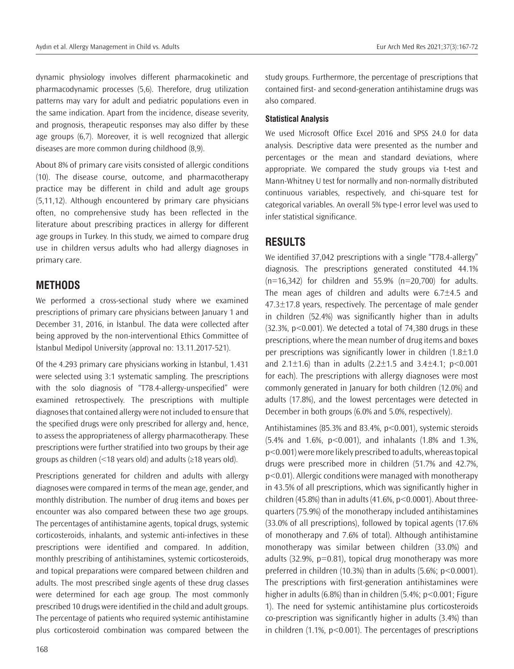dynamic physiology involves different pharmacokinetic and pharmacodynamic processes (5,6). Therefore, drug utilization patterns may vary for adult and pediatric populations even in the same indication. Apart from the incidence, disease severity, and prognosis, therapeutic responses may also differ by these age groups (6,7). Moreover, it is well recognized that allergic diseases are more common during childhood (8,9).

About 8% of primary care visits consisted of allergic conditions (10). The disease course, outcome, and pharmacotherapy practice may be different in child and adult age groups (5,11,12). Although encountered by primary care physicians often, no comprehensive study has been reflected in the literature about prescribing practices in allergy for different age groups in Turkey. In this study, we aimed to compare drug use in children versus adults who had allergy diagnoses in primary care.

### **METHODS**

We performed a cross-sectional study where we examined prescriptions of primary care physicians between January 1 and December 31, 2016, in İstanbul. The data were collected after being approved by the non-interventional Ethics Committee of İstanbul Medipol University (approval no: 13.11.2017-521).

Of the 4.293 primary care physicians working in İstanbul, 1.431 were selected using 3:1 systematic sampling. The prescriptions with the solo diagnosis of "T78.4-allergy-unspecified" were examined retrospectively. The prescriptions with multiple diagnoses that contained allergy were not included to ensure that the specified drugs were only prescribed for allergy and, hence, to assess the appropriateness of allergy pharmacotherapy. These prescriptions were further stratified into two groups by their age groups as children (<18 years old) and adults (≥18 years old).

Prescriptions generated for children and adults with allergy diagnoses were compared in terms of the mean age, gender, and monthly distribution. The number of drug items and boxes per encounter was also compared between these two age groups. The percentages of antihistamine agents, topical drugs, systemic corticosteroids, inhalants, and systemic anti-infectives in these prescriptions were identified and compared. In addition, monthly prescribing of antihistamines, systemic corticosteroids, and topical preparations were compared between children and adults. The most prescribed single agents of these drug classes were determined for each age group. The most commonly prescribed 10 drugs were identified in the child and adult groups. The percentage of patients who required systemic antihistamine plus corticosteroid combination was compared between the study groups. Furthermore, the percentage of prescriptions that contained first- and second-generation antihistamine drugs was also compared.

#### **Statistical Analysis**

We used Microsoft Office Excel 2016 and SPSS 24.0 for data analysis. Descriptive data were presented as the number and percentages or the mean and standard deviations, where appropriate. We compared the study groups via t-test and Mann-Whitney U test for normally and non-normally distributed continuous variables, respectively, and chi-square test for categorical variables. An overall 5% type-I error level was used to infer statistical significance.

## **RESULTS**

We identified 37,042 prescriptions with a single "T78.4-allergy" diagnosis. The prescriptions generated constituted 44.1%  $(n=16,342)$  for children and 55.9%  $(n=20,700)$  for adults. The mean ages of children and adults were  $6.7\pm4.5$  and  $47.3\pm17.8$  years, respectively. The percentage of male gender in children (52.4%) was significantly higher than in adults  $(32.3\%, p<0.001)$ . We detected a total of 74,380 drugs in these prescriptions, where the mean number of drug items and boxes per prescriptions was significantly lower in children  $(1.8\pm1.0)$ and 2.1 $\pm$ 1.6) than in adults (2.2 $\pm$ 1.5 and 3.4 $\pm$ 4.1; p<0.001 for each). The prescriptions with allergy diagnoses were most commonly generated in January for both children (12.0%) and adults (17.8%), and the lowest percentages were detected in December in both groups (6.0% and 5.0%, respectively).

Antihistamines (85.3% and 83.4%, p<0.001), systemic steroids (5.4% and 1.6%, p<0.001), and inhalants (1.8% and 1.3%, p<0.001) were more likely prescribed to adults, whereas topical drugs were prescribed more in children (51.7% and 42.7%, p<0.01). Allergic conditions were managed with monotherapy in 43.5% of all prescriptions, which was significantly higher in children (45.8%) than in adults (41.6%, p<0.0001). About threequarters (75.9%) of the monotherapy included antihistamines (33.0% of all prescriptions), followed by topical agents (17.6% of monotherapy and 7.6% of total). Although antihistamine monotherapy was similar between children (33.0%) and adults (32.9%, p=0.81), topical drug monotherapy was more preferred in children (10.3%) than in adults (5.6%;  $p < 0.0001$ ). The prescriptions with first-generation antihistamines were higher in adults (6.8%) than in children (5.4%; p<0.001; Figure 1). The need for systemic antihistamine plus corticosteroids co-prescription was significantly higher in adults (3.4%) than in children (1.1%, p<0.001). The percentages of prescriptions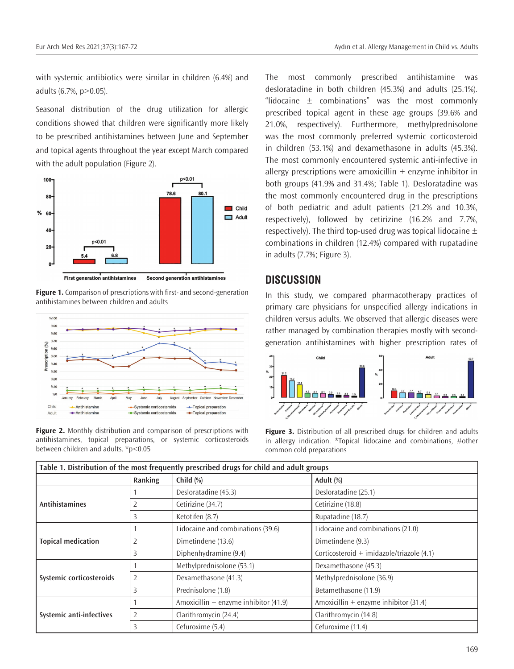with systemic antibiotics were similar in children (6.4%) and adults (6.7%, p>0.05).

Seasonal distribution of the drug utilization for allergic conditions showed that children were significantly more likely to be prescribed antihistamines between June and September and topical agents throughout the year except March compared with the adult population (Figure 2).



**Figure 1.** Comparison of prescriptions with first- and second-generation antihistamines between children and adults





The most commonly prescribed antihistamine was desloratadine in both children (45.3%) and adults (25.1%). "lidocaine  $\pm$  combinations" was the most commonly prescribed topical agent in these age groups (39.6% and 21.0%, respectively). Furthermore, methylprednisolone was the most commonly preferred systemic corticosteroid in children (53.1%) and dexamethasone in adults (45.3%). The most commonly encountered systemic anti-infective in allergy prescriptions were amoxicillin  $+$  enzyme inhibitor in both groups (41.9% and 31.4%; Table 1). Desloratadine was the most commonly encountered drug in the prescriptions of both pediatric and adult patients (21.2% and 10.3%, respectively), followed by cetirizine (16.2% and 7.7%, respectively). The third top-used drug was topical lidocaine  $\pm$ combinations in children (12.4%) compared with rupatadine in adults (7.7%; Figure 3).

## **DISCUSSION**

In this study, we compared pharmacotherapy practices of primary care physicians for unspecified allergy indications in children versus adults. We observed that allergic diseases were rather managed by combination therapies mostly with secondgeneration antihistamines with higher prescription rates of



Figure 3. Distribution of all prescribed drugs for children and adults in allergy indication. \*Topical lidocaine and combinations, #other common cold preparations

| Table 1. Distribution of the most frequently prescribed drugs for child and adult groups |                |                                       |                                           |
|------------------------------------------------------------------------------------------|----------------|---------------------------------------|-------------------------------------------|
|                                                                                          | Ranking        | Child $(\%)$                          | Adult (%)                                 |
| <b>Antihistamines</b>                                                                    |                | Desloratadine (45.3)                  | Desloratadine (25.1)                      |
|                                                                                          |                | Cetirizine (34.7)                     | Cetirizine (18.8)                         |
|                                                                                          | 3              | Ketotifen (8.7)                       | Rupatadine (18.7)                         |
| <b>Topical medication</b>                                                                |                | Lidocaine and combinations (39.6)     | Lidocaine and combinations (21.0)         |
|                                                                                          |                | Dimetindene (13.6)                    | Dimetindene (9.3)                         |
|                                                                                          | 3              | Diphenhydramine (9.4)                 | Corticosteroid + imidazole/triazole (4.1) |
| Systemic corticosteroids                                                                 |                | Methylprednisolone (53.1)             | Dexamethasone (45.3)                      |
|                                                                                          | $\overline{2}$ | Dexamethasone (41.3)                  | Methylprednisolone (36.9)                 |
|                                                                                          | 3              | Prednisolone (1.8)                    | Betamethasone (11.9)                      |
| Systemic anti-infectives                                                                 |                | Amoxicillin + enzyme inhibitor (41.9) | Amoxicillin + enzyme inhibitor $(31.4)$   |
|                                                                                          | 2              | Clarithromycin (24.4)                 | Clarithromycin (14.8)                     |
|                                                                                          | 3              | Cefuroxime (5.4)                      | Cefuroxime (11.4)                         |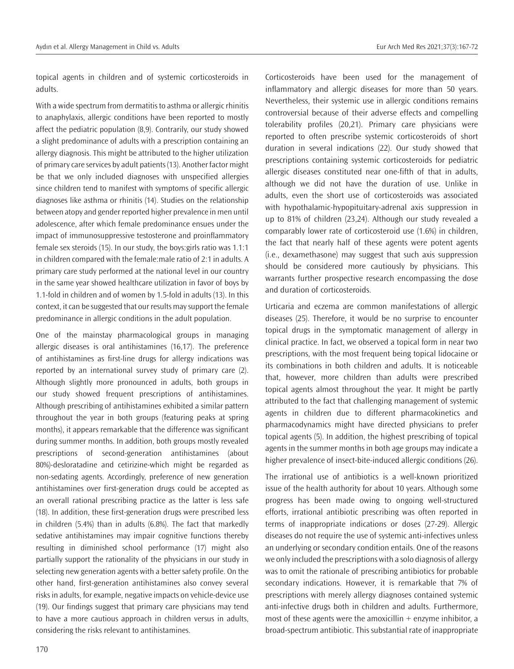topical agents in children and of systemic corticosteroids in adults.

With a wide spectrum from dermatitis to asthma or allergic rhinitis to anaphylaxis, allergic conditions have been reported to mostly affect the pediatric population (8,9). Contrarily, our study showed a slight predominance of adults with a prescription containing an allergy diagnosis. This might be attributed to the higher utilization of primary care services by adult patients (13). Another factor might be that we only included diagnoses with unspecified allergies since children tend to manifest with symptoms of specific allergic diagnoses like asthma or rhinitis (14). Studies on the relationship between atopy and gender reported higher prevalence in men until adolescence, after which female predominance ensues under the impact of immunosuppressive testosterone and proinflammatory female sex steroids (15). In our study, the boys:girls ratio was 1.1:1 in children compared with the female:male ratio of 2:1 in adults. A primary care study performed at the national level in our country in the same year showed healthcare utilization in favor of boys by 1.1-fold in children and of women by 1.5-fold in adults (13). In this context, it can be suggested that our results may support the female predominance in allergic conditions in the adult population.

One of the mainstay pharmacological groups in managing allergic diseases is oral antihistamines (16,17). The preference of antihistamines as first-line drugs for allergy indications was reported by an international survey study of primary care (2). Although slightly more pronounced in adults, both groups in our study showed frequent prescriptions of antihistamines. Although prescribing of antihistamines exhibited a similar pattern throughout the year in both groups (featuring peaks at spring months), it appears remarkable that the difference was significant during summer months. In addition, both groups mostly revealed prescriptions of second-generation antihistamines (about 80%)-desloratadine and cetirizine-which might be regarded as non-sedating agents. Accordingly, preference of new generation antihistamines over first-generation drugs could be accepted as an overall rational prescribing practice as the latter is less safe (18). In addition, these first-generation drugs were prescribed less in children (5.4%) than in adults (6.8%). The fact that markedly sedative antihistamines may impair cognitive functions thereby resulting in diminished school performance (17) might also partially support the rationality of the physicians in our study in selecting new generation agents with a better safety profile. On the other hand, first-generation antihistamines also convey several risks in adults, for example, negative impacts on vehicle-device use (19). Our findings suggest that primary care physicians may tend to have a more cautious approach in children versus in adults, considering the risks relevant to antihistamines.

Corticosteroids have been used for the management of inflammatory and allergic diseases for more than 50 years. Nevertheless, their systemic use in allergic conditions remains controversial because of their adverse effects and compelling tolerability profiles (20,21). Primary care physicians were reported to often prescribe systemic corticosteroids of short duration in several indications (22). Our study showed that prescriptions containing systemic corticosteroids for pediatric allergic diseases constituted near one-fifth of that in adults, although we did not have the duration of use. Unlike in adults, even the short use of corticosteroids was associated with hypothalamic-hypopituitary-adrenal axis suppression in up to 81% of children (23,24). Although our study revealed a comparably lower rate of corticosteroid use (1.6%) in children, the fact that nearly half of these agents were potent agents (i.e., dexamethasone) may suggest that such axis suppression should be considered more cautiously by physicians. This warrants further prospective research encompassing the dose and duration of corticosteroids.

Urticaria and eczema are common manifestations of allergic diseases (25). Therefore, it would be no surprise to encounter topical drugs in the symptomatic management of allergy in clinical practice. In fact, we observed a topical form in near two prescriptions, with the most frequent being topical lidocaine or its combinations in both children and adults. It is noticeable that, however, more children than adults were prescribed topical agents almost throughout the year. It might be partly attributed to the fact that challenging management of systemic agents in children due to different pharmacokinetics and pharmacodynamics might have directed physicians to prefer topical agents (5). In addition, the highest prescribing of topical agents in the summer months in both age groups may indicate a higher prevalence of insect-bite-induced allergic conditions (26).

The irrational use of antibiotics is a well-known prioritized issue of the health authority for about 10 years. Although some progress has been made owing to ongoing well-structured efforts, irrational antibiotic prescribing was often reported in terms of inappropriate indications or doses (27-29). Allergic diseases do not require the use of systemic anti-infectives unless an underlying or secondary condition entails. One of the reasons we only included the prescriptions with a solo diagnosis of allergy was to omit the rationale of prescribing antibiotics for probable secondary indications. However, it is remarkable that 7% of prescriptions with merely allergy diagnoses contained systemic anti-infective drugs both in children and adults. Furthermore, most of these agents were the amoxicillin  $+$  enzyme inhibitor, a broad-spectrum antibiotic. This substantial rate of inappropriate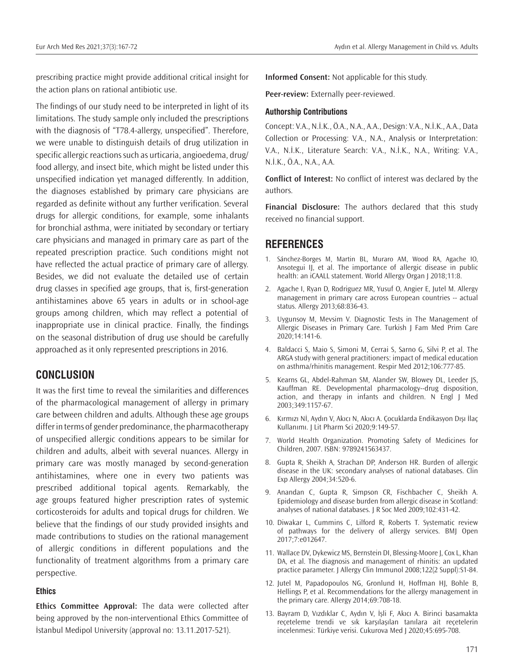prescribing practice might provide additional critical insight for the action plans on rational antibiotic use.

The findings of our study need to be interpreted in light of its limitations. The study sample only included the prescriptions with the diagnosis of "T78.4-allergy, unspecified". Therefore, we were unable to distinguish details of drug utilization in specific allergic reactions such as urticaria, angioedema, drug/ food allergy, and insect bite, which might be listed under this unspecified indication yet managed differently. In addition, the diagnoses established by primary care physicians are regarded as definite without any further verification. Several drugs for allergic conditions, for example, some inhalants for bronchial asthma, were initiated by secondary or tertiary care physicians and managed in primary care as part of the repeated prescription practice. Such conditions might not have reflected the actual practice of primary care of allergy. Besides, we did not evaluate the detailed use of certain drug classes in specified age groups, that is, first-generation antihistamines above 65 years in adults or in school-age groups among children, which may reflect a potential of inappropriate use in clinical practice. Finally, the findings on the seasonal distribution of drug use should be carefully approached as it only represented prescriptions in 2016.

### **CONCLUSION**

It was the first time to reveal the similarities and differences of the pharmacological management of allergy in primary care between children and adults. Although these age groups differ in terms of gender predominance, the pharmacotherapy of unspecified allergic conditions appears to be similar for children and adults, albeit with several nuances. Allergy in primary care was mostly managed by second-generation antihistamines, where one in every two patients was prescribed additional topical agents. Remarkably, the age groups featured higher prescription rates of systemic corticosteroids for adults and topical drugs for children. We believe that the findings of our study provided insights and made contributions to studies on the rational management of allergic conditions in different populations and the functionality of treatment algorithms from a primary care perspective.

#### **Ethics**

**Ethics Committee Approval:** The data were collected after being approved by the non-interventional Ethics Committee of İstanbul Medipol University (approval no: 13.11.2017-521).

**Informed Consent:** Not applicable for this study.

**Peer-review:** Externally peer-reviewed.

#### **Authorship Contributions**

Concept: V.A., N.İ.K., Ö.A., N.A., A.A., Design: V.A., N.İ.K., A.A., Data Collection or Processing: V.A., N.A., Analysis or Interpretation: V.A., N.İ.K., Literature Search: V.A., N.İ.K., N.A., Writing: V.A., N.İ.K., Ö.A., N.A., A.A.

**Conflict of Interest:** No conflict of interest was declared by the authors.

**Financial Disclosure:** The authors declared that this study received no financial support.

#### **REFERENCES**

- 1. Sánchez-Borges M, Martin BL, Muraro AM, Wood RA, Agache IO, Ansotegui IJ, et al. The importance of allergic disease in public health: an iCAALL statement. World Allergy Organ J 2018;11:8.
- 2. Agache I, Ryan D, Rodriguez MR, Yusuf O, Angier E, Jutel M. Allergy management in primary care across European countries -- actual status. Allergy 2013;68:836-43.
- 3. Uygunsoy M, Mevsim V. Diagnostic Tests in The Management of Allergic Diseases in Primary Care. Turkish J Fam Med Prim Care 2020;14:141-6.
- 4. Baldacci S, Maio S, Simoni M, Cerrai S, Sarno G, Silvi P, et al. The ARGA study with general practitioners: impact of medical education on asthma/rhinitis management. Respir Med 2012;106:777-85.
- 5. Kearns GL, Abdel-Rahman SM, Alander SW, Blowey DL, Leeder JS, Kauffman RE. Developmental pharmacology--drug disposition, action, and therapy in infants and children. N Engl J Med 2003;349:1157-67.
- 6. Kırmızı Nİ, Aydın V, Akıcı N, Akıcı A. Çocuklarda Endikasyon Dışı İlaç Kullanımı. J Lit Pharm Sci 2020;9:149-57.
- 7. World Health Organization. Promoting Safety of Medicines for Children, 2007. ISBN: 9789241563437.
- 8. Gupta R, Sheikh A, Strachan DP, Anderson HR. Burden of allergic disease in the UK: secondary analyses of national databases. Clin Exp Allergy 2004;34:520-6.
- 9. Anandan C, Gupta R, Simpson CR, Fischbacher C, Sheikh A. Epidemiology and disease burden from allergic disease in Scotland: analyses of national databases. J R Soc Med 2009;102:431-42.
- 10. Diwakar L, Cummins C, Lilford R, Roberts T. Systematic review of pathways for the delivery of allergy services. BMJ Open 2017;7:e012647.
- 11. Wallace DV, Dykewicz MS, Bernstein DI, Blessing-Moore J, Cox L, Khan DA, et al. The diagnosis and management of rhinitis: an updated practice parameter. J Allergy Clin Immunol 2008;122(2 Suppl):S1-84.
- 12. Jutel M, Papadopoulos NG, Gronlund H, Hoffman HJ, Bohle B, Hellings P, et al. Recommendations for the allergy management in the primary care. Allergy 2014;69:708-18.
- 13. Bayram D, Vızdıklar C, Aydın V, İşli F, Akıcı A. Birinci basamakta reçeteleme trendi ve sık karşılaşılan tanılara ait reçetelerin incelenmesi: Türkiye verisi. Cukurova Med J 2020;45:695-708.